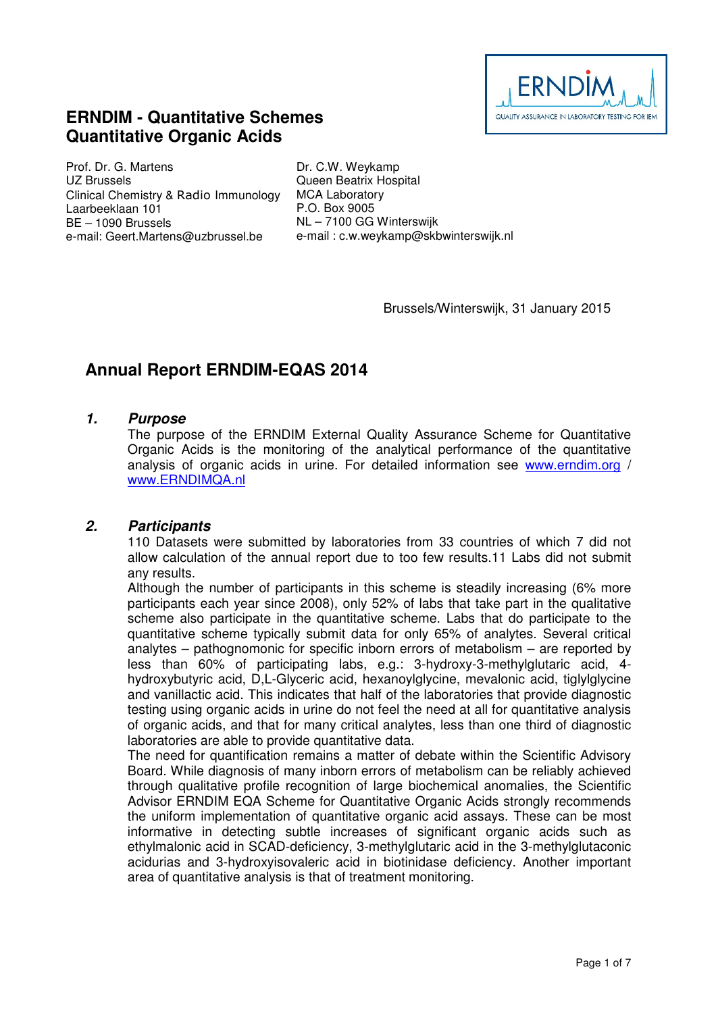

# **ERNDIM - Quantitative Schemes Quantitative Organic Acids**

Prof. Dr. G. Martens UZ Brussels Clinical Chemistry & Radio Immunology Laarbeeklaan 101 BE – 1090 Brussels e-mail: Geert.Martens@uzbrussel.be

Dr. C.W. Weykamp Queen Beatrix Hospital MCA Laboratory P.O. Box 9005 NL – 7100 GG Winterswijk e-mail : c.w.weykamp@skbwinterswijk.nl

Brussels/Winterswijk, 31 January 2015

# **Annual Report ERNDIM-EQAS 2014**

### **1. Purpose**

The purpose of the ERNDIM External Quality Assurance Scheme for Quantitative Organic Acids is the monitoring of the analytical performance of the quantitative analysis of organic acids in urine. For detailed information see www.erndim.org / www.ERNDIMQA.nl

### **2. Participants**

110 Datasets were submitted by laboratories from 33 countries of which 7 did not allow calculation of the annual report due to too few results.11 Labs did not submit any results.

Although the number of participants in this scheme is steadily increasing (6% more participants each year since 2008), only 52% of labs that take part in the qualitative scheme also participate in the quantitative scheme. Labs that do participate to the quantitative scheme typically submit data for only 65% of analytes. Several critical analytes – pathognomonic for specific inborn errors of metabolism – are reported by less than 60% of participating labs, e.g.: 3-hydroxy-3-methylglutaric acid, 4 hydroxybutyric acid, D,L-Glyceric acid, hexanoylglycine, mevalonic acid, tiglylglycine and vanillactic acid. This indicates that half of the laboratories that provide diagnostic testing using organic acids in urine do not feel the need at all for quantitative analysis of organic acids, and that for many critical analytes, less than one third of diagnostic laboratories are able to provide quantitative data.

The need for quantification remains a matter of debate within the Scientific Advisory Board. While diagnosis of many inborn errors of metabolism can be reliably achieved through qualitative profile recognition of large biochemical anomalies, the Scientific Advisor ERNDIM EQA Scheme for Quantitative Organic Acids strongly recommends the uniform implementation of quantitative organic acid assays. These can be most informative in detecting subtle increases of significant organic acids such as ethylmalonic acid in SCAD-deficiency, 3-methylglutaric acid in the 3-methylglutaconic acidurias and 3-hydroxyisovaleric acid in biotinidase deficiency. Another important area of quantitative analysis is that of treatment monitoring.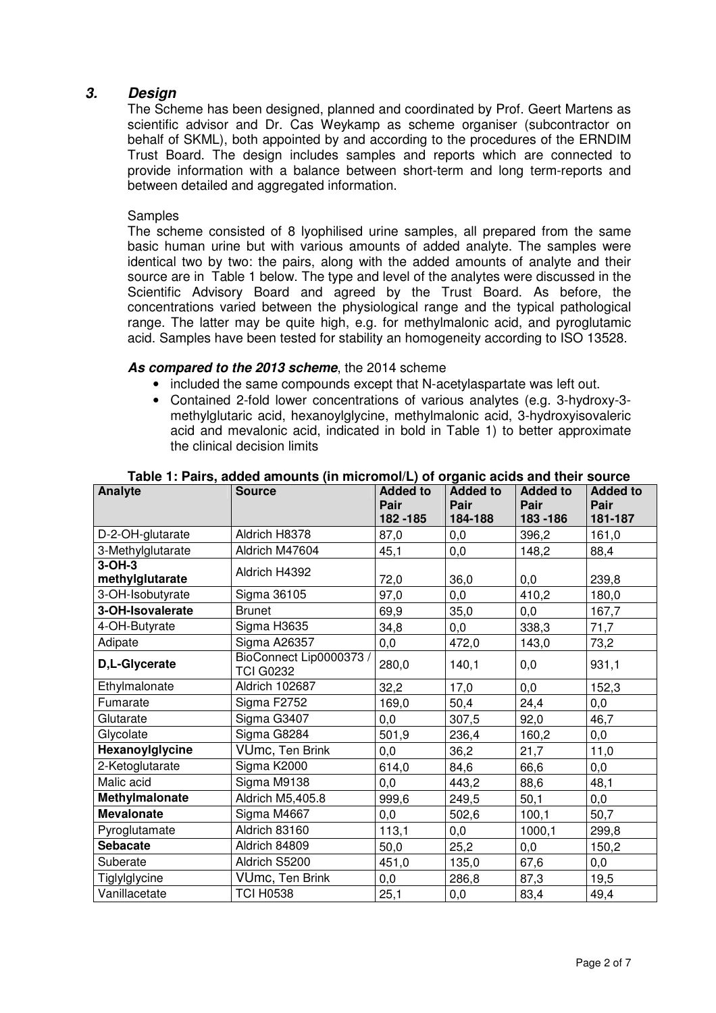## **3. Design**

The Scheme has been designed, planned and coordinated by Prof. Geert Martens as scientific advisor and Dr. Cas Weykamp as scheme organiser (subcontractor on behalf of SKML), both appointed by and according to the procedures of the ERNDIM Trust Board. The design includes samples and reports which are connected to provide information with a balance between short-term and long term-reports and between detailed and aggregated information.

#### Samples

The scheme consisted of 8 lyophilised urine samples, all prepared from the same basic human urine but with various amounts of added analyte. The samples were identical two by two: the pairs, along with the added amounts of analyte and their source are in Table 1 below. The type and level of the analytes were discussed in the Scientific Advisory Board and agreed by the Trust Board. As before, the concentrations varied between the physiological range and the typical pathological range. The latter may be quite high, e.g. for methylmalonic acid, and pyroglutamic acid. Samples have been tested for stability an homogeneity according to ISO 13528.

#### **As compared to the 2013 scheme**, the 2014 scheme

- included the same compounds except that N-acetylaspartate was left out.
- Contained 2-fold lower concentrations of various analytes (e.g. 3-hydroxy-3 methylglutaric acid, hexanoylglycine, methylmalonic acid, 3-hydroxyisovaleric acid and mevalonic acid, indicated in bold in Table 1) to better approximate the clinical decision limits

| Analyte           | <b>Source</b>                               | <b>Added to</b><br>Pair | <b>Added to</b><br>Pair | <b>Added to</b><br>Pair | <b>Added to</b><br>Pair |
|-------------------|---------------------------------------------|-------------------------|-------------------------|-------------------------|-------------------------|
|                   |                                             | 182 - 185               | 184-188                 | 183 - 186               | 181-187                 |
| D-2-OH-glutarate  | Aldrich H8378                               | 87,0                    | 0,0                     | 396,2                   | 161,0                   |
| 3-Methylglutarate | Aldrich M47604                              | 45,1                    | 0,0                     | 148,2                   | 88,4                    |
| $3-OH-3$          | Aldrich H4392                               |                         |                         |                         |                         |
| methylglutarate   |                                             | 72,0                    | 36,0                    | 0,0                     | 239,8                   |
| 3-OH-Isobutyrate  | Sigma 36105                                 | 97,0                    | 0,0                     | 410,2                   | 180,0                   |
| 3-OH-Isovalerate  | <b>Brunet</b>                               | 69,9                    | 35,0                    | 0,0                     | 167,7                   |
| 4-OH-Butyrate     | Sigma H3635                                 | 34,8                    | 0,0                     | 338,3                   | 71,7                    |
| Adipate           | Sigma A26357                                | $_{0,0}$                | 472,0                   | 143,0                   | 73,2                    |
| D,L-Glycerate     | BioConnect Lip0000373 /<br><b>TCI G0232</b> | 280,0                   | 140,1                   | 0,0                     | 931,1                   |
| Ethylmalonate     | Aldrich 102687                              | 32,2                    | 17,0                    | 0,0                     | 152,3                   |
| Fumarate          | Sigma F2752                                 | 169,0                   | 50,4                    | 24,4                    | $_{0,0}$                |
| Glutarate         | Sigma G3407                                 | 0,0                     | 307,5                   | 92,0                    | 46,7                    |
| Glycolate         | Sigma G8284                                 | 501,9                   | 236,4                   | 160,2                   | $_{0,0}$                |
| Hexanoylglycine   | VUmc, Ten Brink                             | 0,0                     | 36,2                    | 21,7                    | 11,0                    |
| 2-Ketoglutarate   | Sigma K2000                                 | 614,0                   | 84,6                    | 66,6                    | $_{0,0}$                |
| Malic acid        | Sigma M9138                                 | 0,0                     | 443,2                   | 88,6                    | 48,1                    |
| Methylmalonate    | Aldrich M5,405.8                            | 999,6                   | 249,5                   | 50,1                    | 0,0                     |
| <b>Mevalonate</b> | Sigma M4667                                 | 0,0                     | 502,6                   | 100,1                   | 50,7                    |
| Pyroglutamate     | Aldrich 83160                               | 113,1                   | 0,0                     | 1000,1                  | 299,8                   |
| <b>Sebacate</b>   | Aldrich 84809                               | 50,0                    | 25,2                    | 0,0                     | 150,2                   |
| Suberate          | Aldrich S5200                               | 451,0                   | 135,0                   | 67,6                    | $_{0,0}$                |
| Tiglylglycine     | VUmc, Ten Brink                             | 0,0                     | 286,8                   | 87,3                    | 19,5                    |
| Vanillacetate     | <b>TCI H0538</b>                            | 25,1                    | 0,0                     | 83,4                    | 49,4                    |

#### **Table 1: Pairs, added amounts (in micromol/L) of organic acids and their source**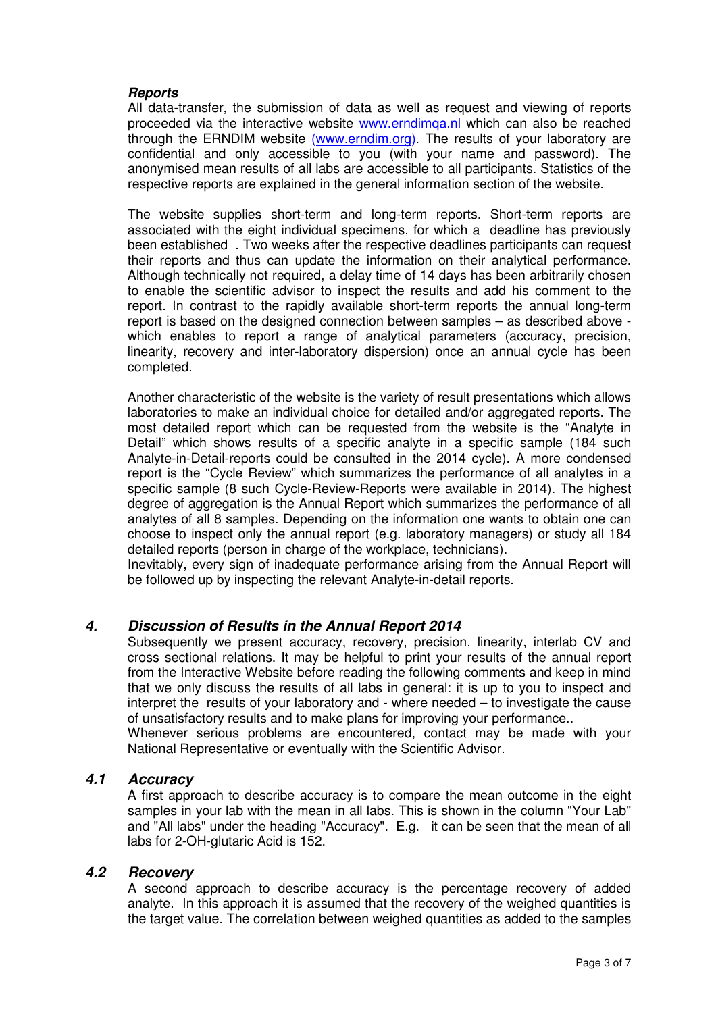#### **Reports**

All data-transfer, the submission of data as well as request and viewing of reports proceeded via the interactive website **www.erndimga.nl** which can also be reached through the ERNDIM website (www.erndim.org). The results of your laboratory are confidential and only accessible to you (with your name and password). The anonymised mean results of all labs are accessible to all participants. Statistics of the respective reports are explained in the general information section of the website.

The website supplies short-term and long-term reports. Short-term reports are associated with the eight individual specimens, for which a deadline has previously been established . Two weeks after the respective deadlines participants can request their reports and thus can update the information on their analytical performance. Although technically not required, a delay time of 14 days has been arbitrarily chosen to enable the scientific advisor to inspect the results and add his comment to the report. In contrast to the rapidly available short-term reports the annual long-term report is based on the designed connection between samples – as described above which enables to report a range of analytical parameters (accuracy, precision, linearity, recovery and inter-laboratory dispersion) once an annual cycle has been completed.

Another characteristic of the website is the variety of result presentations which allows laboratories to make an individual choice for detailed and/or aggregated reports. The most detailed report which can be requested from the website is the "Analyte in Detail" which shows results of a specific analyte in a specific sample (184 such Analyte-in-Detail-reports could be consulted in the 2014 cycle). A more condensed report is the "Cycle Review" which summarizes the performance of all analytes in a specific sample (8 such Cycle-Review-Reports were available in 2014). The highest degree of aggregation is the Annual Report which summarizes the performance of all analytes of all 8 samples. Depending on the information one wants to obtain one can choose to inspect only the annual report (e.g. laboratory managers) or study all 184 detailed reports (person in charge of the workplace, technicians).

Inevitably, every sign of inadequate performance arising from the Annual Report will be followed up by inspecting the relevant Analyte-in-detail reports.

### **4. Discussion of Results in the Annual Report 2014**

Subsequently we present accuracy, recovery, precision, linearity, interlab CV and cross sectional relations. It may be helpful to print your results of the annual report from the Interactive Website before reading the following comments and keep in mind that we only discuss the results of all labs in general: it is up to you to inspect and interpret the results of your laboratory and - where needed – to investigate the cause of unsatisfactory results and to make plans for improving your performance..

Whenever serious problems are encountered, contact may be made with your National Representative or eventually with the Scientific Advisor.

### **4.1 Accuracy**

A first approach to describe accuracy is to compare the mean outcome in the eight samples in your lab with the mean in all labs. This is shown in the column "Your Lab" and "All labs" under the heading "Accuracy". E.g. it can be seen that the mean of all labs for 2-OH-glutaric Acid is 152.

#### **4.2 Recovery**

A second approach to describe accuracy is the percentage recovery of added analyte. In this approach it is assumed that the recovery of the weighed quantities is the target value. The correlation between weighed quantities as added to the samples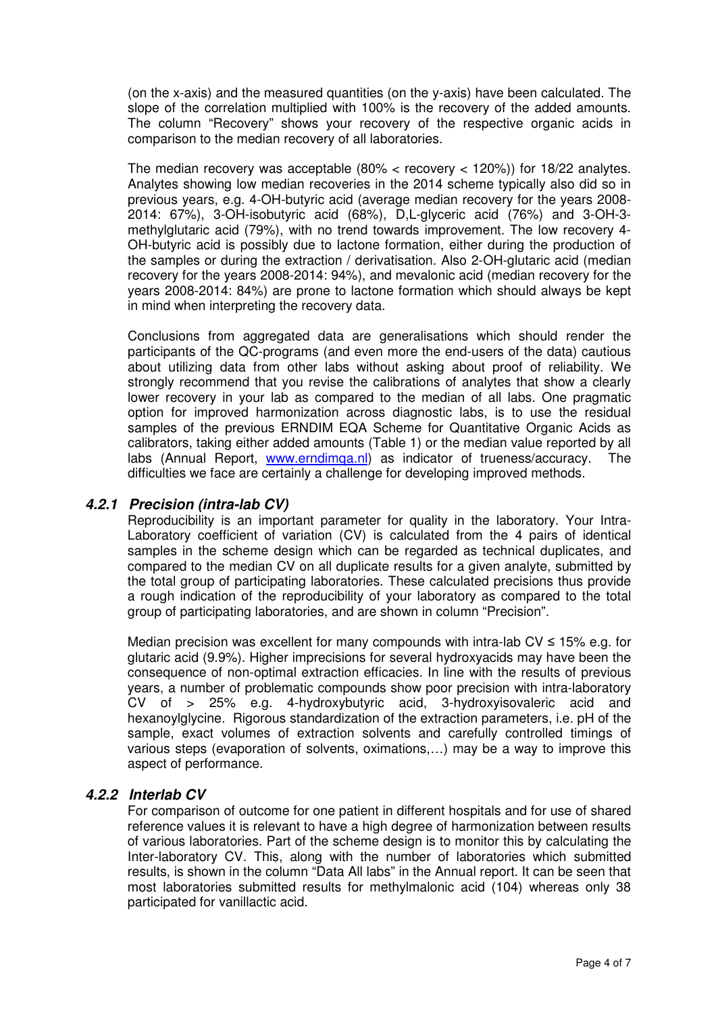(on the x-axis) and the measured quantities (on the y-axis) have been calculated. The slope of the correlation multiplied with 100% is the recovery of the added amounts. The column "Recovery" shows your recovery of the respective organic acids in comparison to the median recovery of all laboratories.

The median recovery was acceptable  $(80\% <$  recovery  $<$  120%)) for 18/22 analytes. Analytes showing low median recoveries in the 2014 scheme typically also did so in previous years, e.g. 4-OH-butyric acid (average median recovery for the years 2008- 2014: 67%), 3-OH-isobutyric acid (68%), D,L-glyceric acid (76%) and 3-OH-3 methylglutaric acid (79%), with no trend towards improvement. The low recovery 4- OH-butyric acid is possibly due to lactone formation, either during the production of the samples or during the extraction / derivatisation. Also 2-OH-glutaric acid (median recovery for the years 2008-2014: 94%), and mevalonic acid (median recovery for the years 2008-2014: 84%) are prone to lactone formation which should always be kept in mind when interpreting the recovery data.

Conclusions from aggregated data are generalisations which should render the participants of the QC-programs (and even more the end-users of the data) cautious about utilizing data from other labs without asking about proof of reliability. We strongly recommend that you revise the calibrations of analytes that show a clearly lower recovery in your lab as compared to the median of all labs. One pragmatic option for improved harmonization across diagnostic labs, is to use the residual samples of the previous ERNDIM EQA Scheme for Quantitative Organic Acids as calibrators, taking either added amounts (Table 1) or the median value reported by all labs (Annual Report, www.erndimqa.nl) as indicator of trueness/accuracy. The difficulties we face are certainly a challenge for developing improved methods.

## **4.2.1 Precision (intra-lab CV)**

Reproducibility is an important parameter for quality in the laboratory. Your Intra-Laboratory coefficient of variation (CV) is calculated from the 4 pairs of identical samples in the scheme design which can be regarded as technical duplicates, and compared to the median CV on all duplicate results for a given analyte, submitted by the total group of participating laboratories. These calculated precisions thus provide a rough indication of the reproducibility of your laboratory as compared to the total group of participating laboratories, and are shown in column "Precision".

Median precision was excellent for many compounds with intra-lab CV ≤ 15% e.g. for glutaric acid (9.9%). Higher imprecisions for several hydroxyacids may have been the consequence of non-optimal extraction efficacies. In line with the results of previous years, a number of problematic compounds show poor precision with intra-laboratory CV of > 25% e.g. 4-hydroxybutyric acid, 3-hydroxyisovaleric acid and hexanoylglycine. Rigorous standardization of the extraction parameters, i.e. pH of the sample, exact volumes of extraction solvents and carefully controlled timings of various steps (evaporation of solvents, oximations,…) may be a way to improve this aspect of performance.

## **4.2.2 Interlab CV**

For comparison of outcome for one patient in different hospitals and for use of shared reference values it is relevant to have a high degree of harmonization between results of various laboratories. Part of the scheme design is to monitor this by calculating the Inter-laboratory CV. This, along with the number of laboratories which submitted results, is shown in the column "Data All labs" in the Annual report. It can be seen that most laboratories submitted results for methylmalonic acid (104) whereas only 38 participated for vanillactic acid.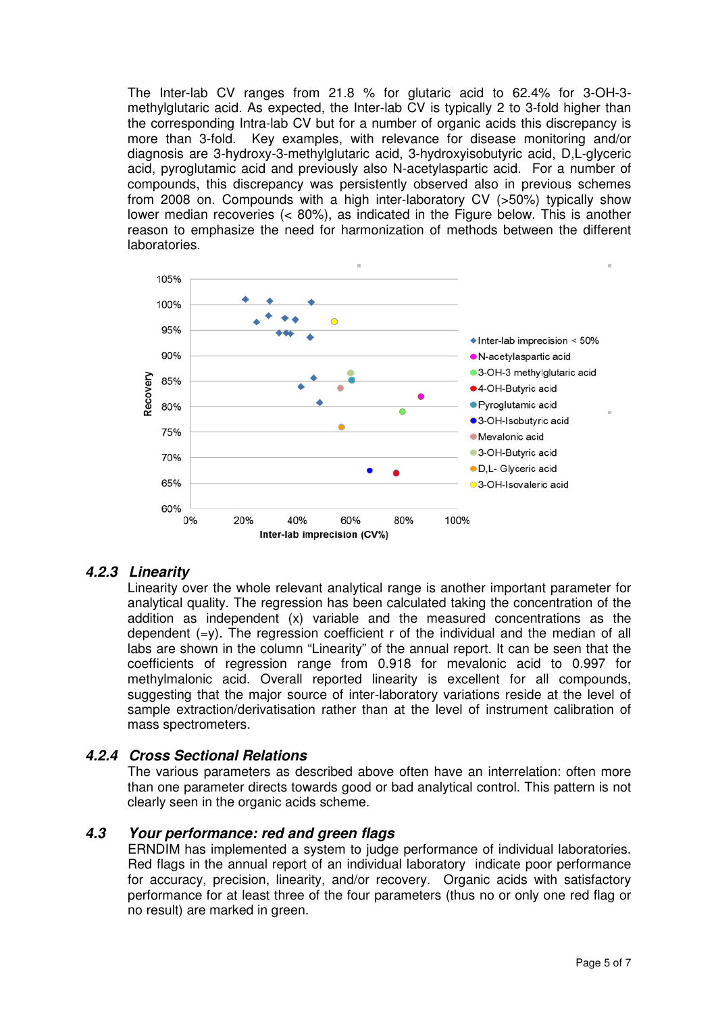The Inter-lab CV ranges from 21.8 % for glutaric acid to 62.4% for 3-OH-3 methylglutaric acid. As expected, the Inter-lab CV is typically 2 to 3-fold higher than the corresponding Intra-lab CV but for a number of organic acids this discrepancy is more than 3-fold. Key examples, with relevance for disease monitoring and/or diagnosis are 3-hydroxy-3-methylglutaric acid, 3-hydroxyisobutyric acid, D,L-glyceric acid, pyroglutamic acid and previously also N-acetylaspartic acid. For a number of compounds, this discrepancy was persistently observed also in previous schemes from 2008 on. Compounds with a high inter-laboratory CV (>50%) typically show lower median recoveries (< 80%), as indicated in the Figure below. This is another reason to emphasize the need for harmonization of methods between the different laboratories.



# **4.2.3 Linearity**

Linearity over the whole relevant analytical range is another important parameter for analytical quality. The regression has been calculated taking the concentration of the addition as independent (x) variable and the measured concentrations as the dependent  $(=y)$ . The regression coefficient r of the individual and the median of all labs are shown in the column "Linearity" of the annual report. It can be seen that the coefficients of regression range from 0.918 for mevalonic acid to 0.997 for methylmalonic acid. Overall reported linearity is excellent for all compounds, suggesting that the major source of inter-laboratory variations reside at the level of sample extraction/derivatisation rather than at the level of instrument calibration of mass spectrometers.

### **4.2.4 Cross Sectional Relations**

The various parameters as described above often have an interrelation: often more than one parameter directs towards good or bad analytical control. This pattern is not clearly seen in the organic acids scheme.

### **4.3 Your performance: red and green flags**

ERNDIM has implemented a system to judge performance of individual laboratories. Red flags in the annual report of an individual laboratory indicate poor performance for accuracy, precision, linearity, and/or recovery. Organic acids with satisfactory performance for at least three of the four parameters (thus no or only one red flag or no result) are marked in green.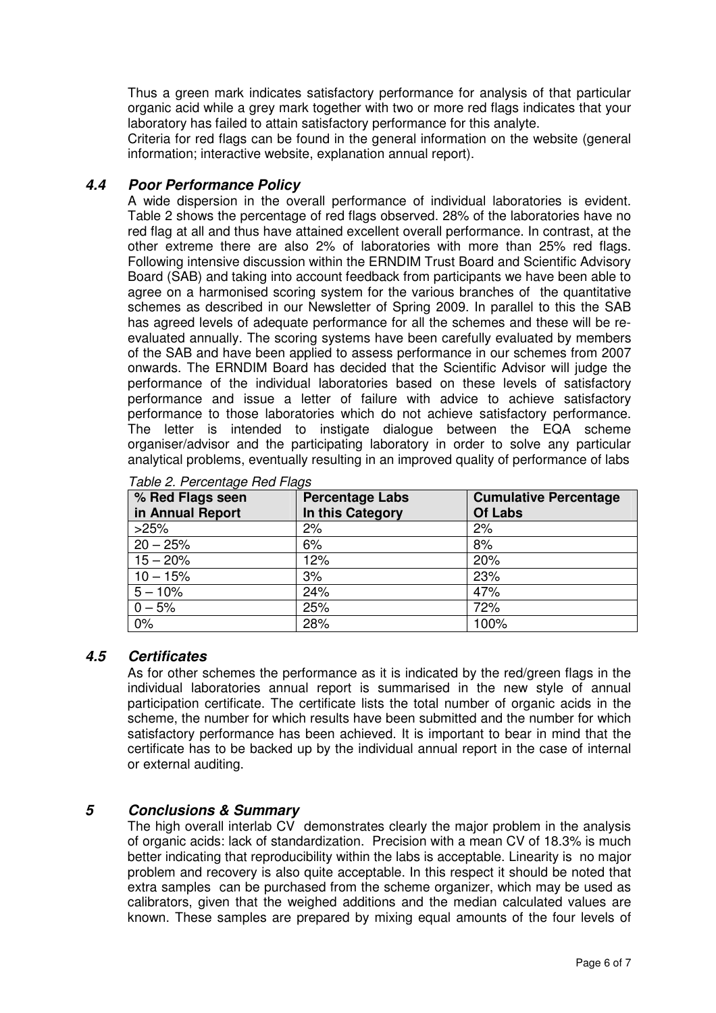Thus a green mark indicates satisfactory performance for analysis of that particular organic acid while a grey mark together with two or more red flags indicates that your laboratory has failed to attain satisfactory performance for this analyte.

Criteria for red flags can be found in the general information on the website (general information; interactive website, explanation annual report).

# **4.4 Poor Performance Policy**

A wide dispersion in the overall performance of individual laboratories is evident. Table 2 shows the percentage of red flags observed. 28% of the laboratories have no red flag at all and thus have attained excellent overall performance. In contrast, at the other extreme there are also 2% of laboratories with more than 25% red flags. Following intensive discussion within the ERNDIM Trust Board and Scientific Advisory Board (SAB) and taking into account feedback from participants we have been able to agree on a harmonised scoring system for the various branches of the quantitative schemes as described in our Newsletter of Spring 2009. In parallel to this the SAB has agreed levels of adequate performance for all the schemes and these will be reevaluated annually. The scoring systems have been carefully evaluated by members of the SAB and have been applied to assess performance in our schemes from 2007 onwards. The ERNDIM Board has decided that the Scientific Advisor will judge the performance of the individual laboratories based on these levels of satisfactory performance and issue a letter of failure with advice to achieve satisfactory performance to those laboratories which do not achieve satisfactory performance. The letter is intended to instigate dialogue between the EQA scheme organiser/advisor and the participating laboratory in order to solve any particular analytical problems, eventually resulting in an improved quality of performance of labs

| % Red Flags seen<br>in Annual Report | <b>Percentage Labs</b><br>In this Category | <b>Cumulative Percentage</b><br><b>Of Labs</b> |
|--------------------------------------|--------------------------------------------|------------------------------------------------|
| >25%                                 | 2%                                         | 2%                                             |
| $20 - 25%$                           | 6%                                         | 8%                                             |
| $15 - 20%$                           | 12%                                        | 20%                                            |
| $10 - 15%$                           | 3%                                         | 23%                                            |
| $5 - 10%$                            | 24%                                        | 47%                                            |
| $0 - 5%$                             | 25%                                        | 72%                                            |
| 0%                                   | 28%                                        | 100%                                           |

Table 2. Percentage Red Flags

# **4.5 Certificates**

As for other schemes the performance as it is indicated by the red/green flags in the individual laboratories annual report is summarised in the new style of annual participation certificate. The certificate lists the total number of organic acids in the scheme, the number for which results have been submitted and the number for which satisfactory performance has been achieved. It is important to bear in mind that the certificate has to be backed up by the individual annual report in the case of internal or external auditing.

# **5 Conclusions & Summary**

The high overall interlab CV demonstrates clearly the major problem in the analysis of organic acids: lack of standardization. Precision with a mean CV of 18.3% is much better indicating that reproducibility within the labs is acceptable. Linearity is no major problem and recovery is also quite acceptable. In this respect it should be noted that extra samples can be purchased from the scheme organizer, which may be used as calibrators, given that the weighed additions and the median calculated values are known. These samples are prepared by mixing equal amounts of the four levels of